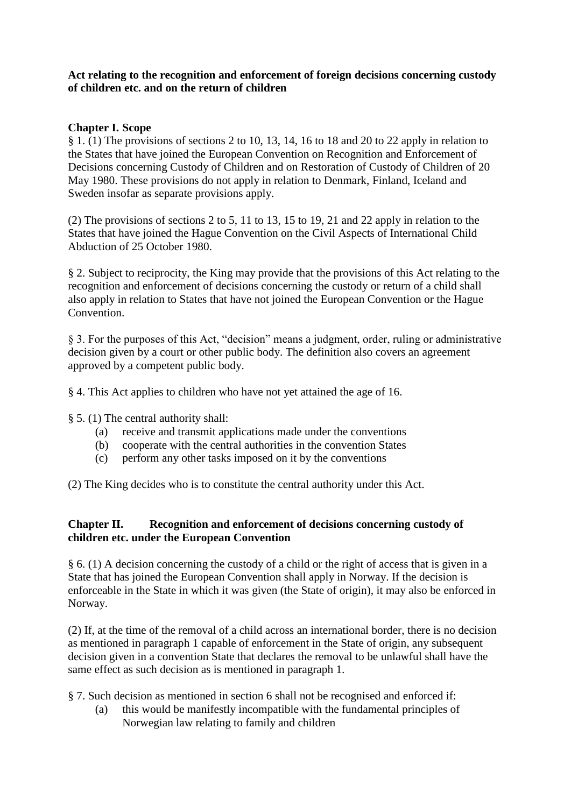#### **Act relating to the recognition and enforcement of foreign decisions concerning custody of children etc. and on the return of children**

## **Chapter I. Scope**

§ 1. (1) The provisions of sections 2 to 10, 13, 14, 16 to 18 and 20 to 22 apply in relation to the States that have joined the European Convention on Recognition and Enforcement of Decisions concerning Custody of Children and on Restoration of Custody of Children of 20 May 1980. These provisions do not apply in relation to Denmark, Finland, Iceland and Sweden insofar as separate provisions apply.

(2) The provisions of sections 2 to 5, 11 to 13, 15 to 19, 21 and 22 apply in relation to the States that have joined the Hague Convention on the Civil Aspects of International Child Abduction of 25 October 1980.

§ 2. Subject to reciprocity, the King may provide that the provisions of this Act relating to the recognition and enforcement of decisions concerning the custody or return of a child shall also apply in relation to States that have not joined the European Convention or the Hague Convention.

§ 3. For the purposes of this Act, "decision" means a judgment, order, ruling or administrative decision given by a court or other public body. The definition also covers an agreement approved by a competent public body.

§ 4. This Act applies to children who have not yet attained the age of 16.

- § 5. (1) The central authority shall:
	- (a) receive and transmit applications made under the conventions
	- (b) cooperate with the central authorities in the convention States
	- (c) perform any other tasks imposed on it by the conventions

(2) The King decides who is to constitute the central authority under this Act.

### **Chapter II. Recognition and enforcement of decisions concerning custody of children etc. under the European Convention**

§ 6. (1) A decision concerning the custody of a child or the right of access that is given in a State that has joined the European Convention shall apply in Norway. If the decision is enforceable in the State in which it was given (the State of origin), it may also be enforced in Norway.

(2) If, at the time of the removal of a child across an international border, there is no decision as mentioned in paragraph 1 capable of enforcement in the State of origin, any subsequent decision given in a convention State that declares the removal to be unlawful shall have the same effect as such decision as is mentioned in paragraph 1.

§ 7. Such decision as mentioned in section 6 shall not be recognised and enforced if:

(a) this would be manifestly incompatible with the fundamental principles of Norwegian law relating to family and children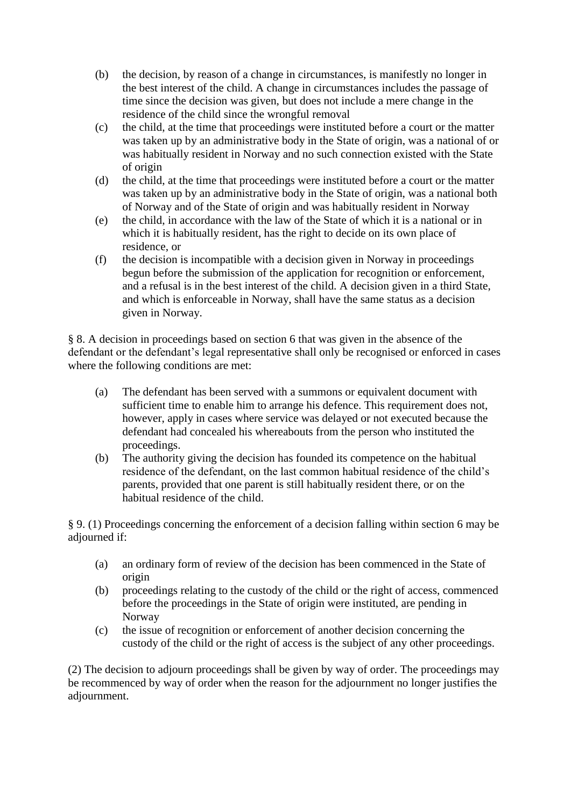- (b) the decision, by reason of a change in circumstances, is manifestly no longer in the best interest of the child. A change in circumstances includes the passage of time since the decision was given, but does not include a mere change in the residence of the child since the wrongful removal
- (c) the child, at the time that proceedings were instituted before a court or the matter was taken up by an administrative body in the State of origin, was a national of or was habitually resident in Norway and no such connection existed with the State of origin
- (d) the child, at the time that proceedings were instituted before a court or the matter was taken up by an administrative body in the State of origin, was a national both of Norway and of the State of origin and was habitually resident in Norway
- (e) the child, in accordance with the law of the State of which it is a national or in which it is habitually resident, has the right to decide on its own place of residence, or
- (f) the decision is incompatible with a decision given in Norway in proceedings begun before the submission of the application for recognition or enforcement, and a refusal is in the best interest of the child. A decision given in a third State, and which is enforceable in Norway, shall have the same status as a decision given in Norway.

§ 8. A decision in proceedings based on section 6 that was given in the absence of the defendant or the defendant's legal representative shall only be recognised or enforced in cases where the following conditions are met:

- (a) The defendant has been served with a summons or equivalent document with sufficient time to enable him to arrange his defence. This requirement does not, however, apply in cases where service was delayed or not executed because the defendant had concealed his whereabouts from the person who instituted the proceedings.
- (b) The authority giving the decision has founded its competence on the habitual residence of the defendant, on the last common habitual residence of the child's parents, provided that one parent is still habitually resident there, or on the habitual residence of the child.

§ 9. (1) Proceedings concerning the enforcement of a decision falling within section 6 may be adjourned if:

- (a) an ordinary form of review of the decision has been commenced in the State of origin
- (b) proceedings relating to the custody of the child or the right of access, commenced before the proceedings in the State of origin were instituted, are pending in Norway
- (c) the issue of recognition or enforcement of another decision concerning the custody of the child or the right of access is the subject of any other proceedings.

(2) The decision to adjourn proceedings shall be given by way of order. The proceedings may be recommenced by way of order when the reason for the adjournment no longer justifies the adjournment.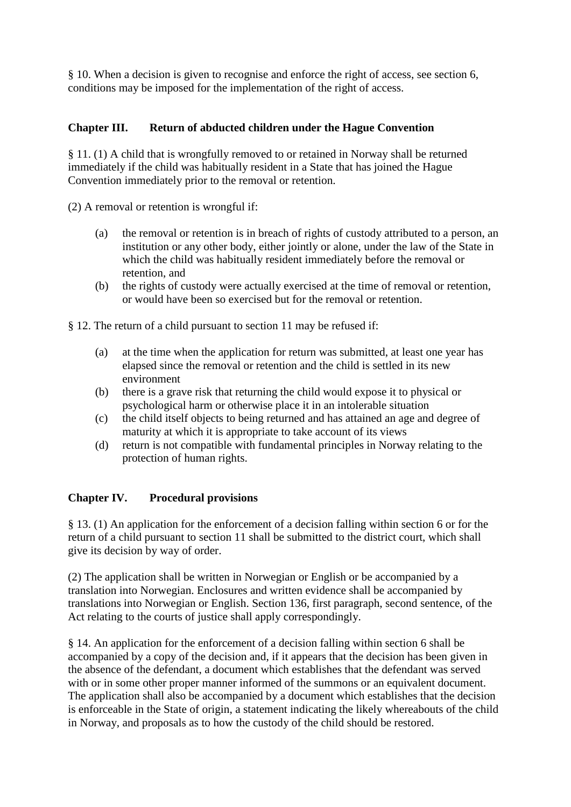§ 10. When a decision is given to recognise and enforce the right of access, see section 6, conditions may be imposed for the implementation of the right of access.

# **Chapter III. Return of abducted children under the Hague Convention**

§ 11. (1) A child that is wrongfully removed to or retained in Norway shall be returned immediately if the child was habitually resident in a State that has joined the Hague Convention immediately prior to the removal or retention.

(2) A removal or retention is wrongful if:

- (a) the removal or retention is in breach of rights of custody attributed to a person, an institution or any other body, either jointly or alone, under the law of the State in which the child was habitually resident immediately before the removal or retention, and
- (b) the rights of custody were actually exercised at the time of removal or retention, or would have been so exercised but for the removal or retention.

§ 12. The return of a child pursuant to section 11 may be refused if:

- (a) at the time when the application for return was submitted, at least one year has elapsed since the removal or retention and the child is settled in its new environment
- (b) there is a grave risk that returning the child would expose it to physical or psychological harm or otherwise place it in an intolerable situation
- (c) the child itself objects to being returned and has attained an age and degree of maturity at which it is appropriate to take account of its views
- (d) return is not compatible with fundamental principles in Norway relating to the protection of human rights.

### **Chapter IV. Procedural provisions**

§ 13. (1) An application for the enforcement of a decision falling within section 6 or for the return of a child pursuant to section 11 shall be submitted to the district court, which shall give its decision by way of order.

(2) The application shall be written in Norwegian or English or be accompanied by a translation into Norwegian. Enclosures and written evidence shall be accompanied by translations into Norwegian or English. Section 136, first paragraph, second sentence, of the Act relating to the courts of justice shall apply correspondingly.

§ 14. An application for the enforcement of a decision falling within section 6 shall be accompanied by a copy of the decision and, if it appears that the decision has been given in the absence of the defendant, a document which establishes that the defendant was served with or in some other proper manner informed of the summons or an equivalent document. The application shall also be accompanied by a document which establishes that the decision is enforceable in the State of origin, a statement indicating the likely whereabouts of the child in Norway, and proposals as to how the custody of the child should be restored.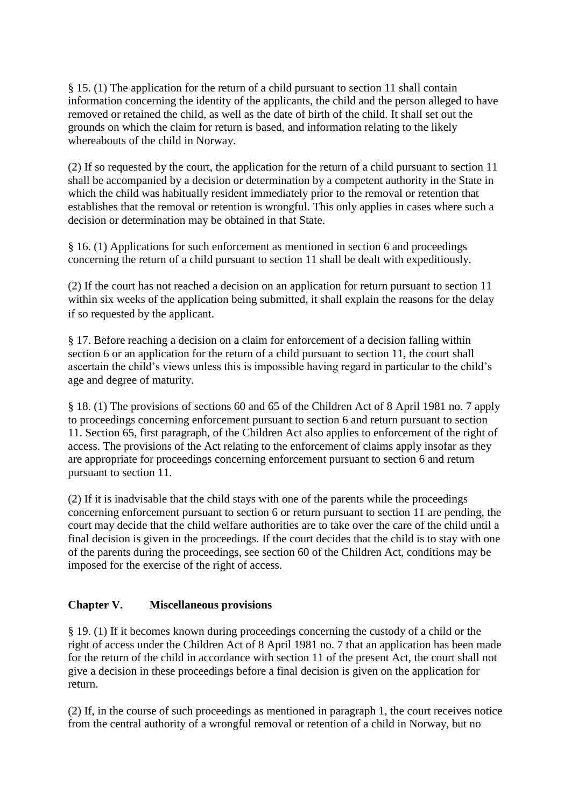§ 15. (1) The application for the return of a child pursuant to section 11 shall contain information concerning the identity of the applicants, the child and the person alleged to have removed or retained the child, as well as the date of birth of the child. It shall set out the grounds on which the claim for return is based, and information relating to the likely whereabouts of the child in Norway.

(2) If so requested by the court, the application for the return of a child pursuant to section 11 shall be accompanied by a decision or determination by a competent authority in the State in which the child was habitually resident immediately prior to the removal or retention that establishes that the removal or retention is wrongful. This only applies in cases where such a decision or determination may be obtained in that State.

§ 16. (1) Applications for such enforcement as mentioned in section 6 and proceedings concerning the return of a child pursuant to section 11 shall be dealt with expeditiously.

(2) If the court has not reached a decision on an application for return pursuant to section 11 within six weeks of the application being submitted, it shall explain the reasons for the delay if so requested by the applicant.

§ 17. Before reaching a decision on a claim for enforcement of a decision falling within section 6 or an application for the return of a child pursuant to section 11, the court shall ascertain the child's views unless this is impossible having regard in particular to the child's age and degree of maturity.

§ 18. (1) The provisions of sections 60 and 65 of the Children Act of 8 April 1981 no. 7 apply to proceedings concerning enforcement pursuant to section 6 and return pursuant to section 11. Section 65, first paragraph, of the Children Act also applies to enforcement of the right of access. The provisions of the Act relating to the enforcement of claims apply insofar as they are appropriate for proceedings concerning enforcement pursuant to section 6 and return pursuant to section 11.

(2) If it is inadvisable that the child stays with one of the parents while the proceedings concerning enforcement pursuant to section 6 or return pursuant to section 11 are pending, the court may decide that the child welfare authorities are to take over the care of the child until a final decision is given in the proceedings. If the court decides that the child is to stay with one of the parents during the proceedings, see section 60 of the Children Act, conditions may be imposed for the exercise of the right of access.

### **Chapter V. Miscellaneous provisions**

§ 19. (1) If it becomes known during proceedings concerning the custody of a child or the right of access under the Children Act of 8 April 1981 no. 7 that an application has been made for the return of the child in accordance with section 11 of the present Act, the court shall not give a decision in these proceedings before a final decision is given on the application for return.

(2) If, in the course of such proceedings as mentioned in paragraph 1, the court receives notice from the central authority of a wrongful removal or retention of a child in Norway, but no